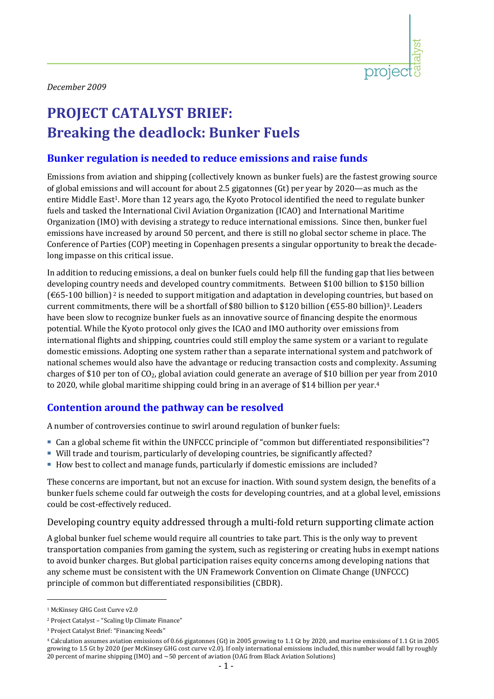

# **PROJECT CATALYST BRIEF: Breaking the deadlock: Bunker Fuels**

## **Bunker regulation is needed to reduce emissions and raise funds**

Emissions from aviation and shipping (collectively known as bunker fuels) are the fastest growing source of global emissions and will account for about 2.5 gigatonnes (Gt) per year by 2020—as much as the entire Middle East<sup>1</sup>. More than 12 years ago, the Kyoto Protocol identified the need to regulate bunker fuels and tasked the International Civil Aviation Organization (ICAO) and International Maritime Organization (IMO) with devising a strategy to reduce international emissions. Since then, bunker fuel emissions have increased by around 50 percent, and there is still no global sector scheme in place. The Conference of Parties (COP) meeting in Copenhagen presents a singular opportunity to break the decade‐ long impasse on this critical issue.

In addition to reducing emissions, a deal on bunker fuels could help fill the funding gap that lies between developing country needs and developed country commitments. Between \$100 billion to \$150 billion  $(\text{\textsterling}65-100$  billion)<sup>2</sup> is needed to support mitigation and adaptation in developing countries, but based on current commitments, there will be a shortfall of \$80 billion to \$120 billion (€55‐80 billion)3. Leaders have been slow to recognize bunker fuels as an innovative source of financing despite the enormous potential. While the Kyoto protocol only gives the ICAO and IMO authority over emissions from international flights and shipping, countries could still employ the same system or a variant to regulate domestic emissions. Adopting one system rather than a separate international system and patchwork of national schemes would also have the advantage or reducing transaction costs and complexity. Assuming charges of \$10 per ton of  $CO<sub>2</sub>$ , global aviation could generate an average of \$10 billion per year from 2010 to 2020, while global maritime shipping could bring in an average of \$14 billion per year.<sup>4</sup>

# **Contention around the pathway can be resolved**

A number of controversies continue to swirl around regulation of bunker fuels:

- Can a global scheme fit within the UNFCCC principle of "common but differentiated responsibilities"?
- Will trade and tourism, particularly of developing countries, be significantly affected?
- How best to collect and manage funds, particularly if domestic emissions are included?

These concerns are important, but not an excuse for inaction. With sound system design, the benefits of a bunker fuels scheme could far outweigh the costs for developing countries, and at a global level, emissions could be cost‐effectively reduced.

Developing country equity addressed through a multi‐fold return supporting climate action

A global bunker fuel scheme would require all countries to take part. This is the only way to prevent transportation companies from gaming the system, such as registering or creating hubs in exempt nations to avoid bunker charges. But global participation raises equity concerns among developing nations that any scheme must be consistent with the UN Framework Convention on Climate Change (UNFCCC) principle of common but differentiated responsibilities (CBDR).

<sup>&</sup>lt;sup>1</sup> McKinsey GHG Cost Curve v2.0

<sup>2</sup> Project Catalyst – "Scaling Up Climate Finance"

<sup>&</sup>lt;sup>3</sup> Project Catalyst Brief: "Financing Needs"

<sup>4</sup> Calculation assumes aviation emissions of 0.66 gigatonnes (Gt) in 2005 growing to 1.1 Gt by 2020, and marine emissions of 1.1 Gt in 2005 growing to 1.5 Gt by 2020 (per McKinsey GHG cost curve v2.0). If only international emissions included, this number would fall by roughly 20 percent of marine shipping (IMO) and ~50 percent of aviation (OAG from Black Aviation Solutions)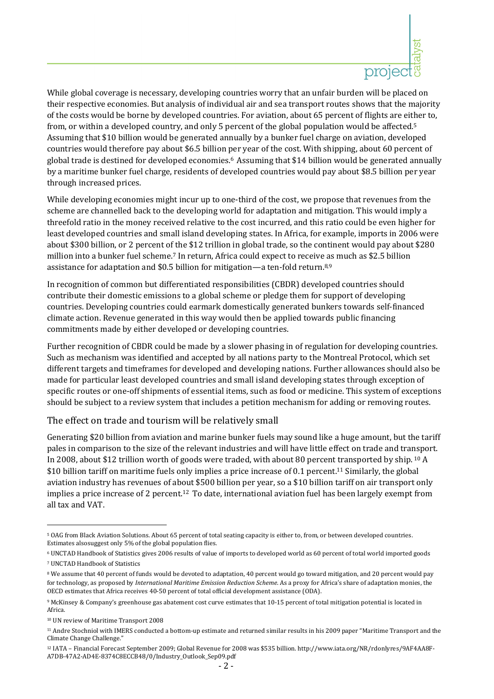

While global coverage is necessary, developing countries worry that an unfair burden will be placed on their respective economies. But analysis of individual air and sea transport routes shows that the majority of the costs would be borne by developed countries. For aviation, about 65 percent of flights are either to, from, or within a developed country, and only 5 percent of the global population would be affected.5 Assuming that \$10 billion would be generated annually by a bunker fuel charge on aviation, developed countries would therefore pay about \$6.5 billion per year of the cost. With shipping, about 60 percent of global trade is destined for developed economies.6 Assuming that \$14 billion would be generated annually by a maritime bunker fuel charge, residents of developed countries would pay about \$8.5 billion per year through increased prices.

While developing economies might incur up to one-third of the cost, we propose that revenues from the scheme are channelled back to the developing world for adaptation and mitigation. This would imply a threefold ratio in the money received relative to the cost incurred, and this ratio could be even higher for least developed countries and small island developing states. In Africa, for example, imports in 2006 were about \$300 billion, or 2 percent of the \$12 trillion in global trade, so the continent would pay about \$280 million into a bunker fuel scheme.7 In return, Africa could expect to receive as much as \$2.5 billion assistance for adaptation and \$0.5 billion for mitigation—a ten-fold return.<sup>8,9</sup>

In recognition of common but differentiated responsibilities (CBDR) developed countries should contribute their domestic emissions to a global scheme or pledge them for support of developing countries. Developing countries could earmark domestically generated bunkers towards self‐financed climate action. Revenue generated in this way would then be applied towards public financing commitments made by either developed or developing countries.

Further recognition of CBDR could be made by a slower phasing in of regulation for developing countries. Such as mechanism was identified and accepted by all nations party to the Montreal Protocol, which set different targets and timeframes for developed and developing nations. Further allowances should also be made for particular least developed countries and small island developing states through exception of specific routes or one‐off shipments of essential items, such as food or medicine. This system of exceptions should be subject to a review system that includes a petition mechanism for adding or removing routes.

### The effect on trade and tourism will be relatively small

Generating \$20 billion from aviation and marine bunker fuels may sound like a huge amount, but the tariff pales in comparison to the size of the relevant industries and will have little effect on trade and transport. In 2008, about \$12 trillion worth of goods were traded, with about 80 percent transported by ship. 10 A \$10 billion tariff on maritime fuels only implies a price increase of 0.1 percent.<sup>11</sup> Similarly, the global aviation industry has revenues of about \$500 billion per year, so a \$10 billion tariff on air transport only implies a price increase of 2 percent.12 To date, international aviation fuel has been largely exempt from all tax and VAT.

<u> 1989 - Johann Stein, marwolaethau a bh</u>

<sup>5</sup> OAG from Black Aviation Solutions. About 65 percent of total seating capacity is either to, from, or between developed countries. Estimates alsosuggest only 5% of the global population flies.

<sup>6</sup> UNCTAD Handbook of Statistics gives 2006 results of value of imports to developed world as 60 percent of total world imported goods 7 UNCTAD Handbook of Statistics

<sup>&</sup>lt;sup>8</sup> We assume that 40 percent of funds would be devoted to adaptation, 40 percent would go toward mitigation, and 20 percent would pay for technology, as proposed by *International Maritime Emission Reduction Scheme*. As a proxy for Africa's share of adaptation monies, the OECD estimates that Africa receives 40‐50 percent of total official development assistance (ODA).

<sup>9</sup> McKinsey & Company's greenhouse gas abatement cost curve estimates that 10‐15 percent of total mitigation potential is located in Africa.

<sup>10</sup> UN review of Maritime Transport 2008

<sup>11</sup> Andre Stochniol with IMERS conducted a bottom‐up estimate and returned similar results in his 2009 paper "Maritime Transport and the Climate Change Challenge."

<sup>12</sup> IATA – Financial Forecast September 2009; Global Revenue for 2008 was \$535 billion. http://www.iata.org/NR/rdonlyres/9AF4AA8F‐ A7DB‐47A2‐AD4E‐8374C8ECCB48/0/Industry\_Outlook\_Sep09.pdf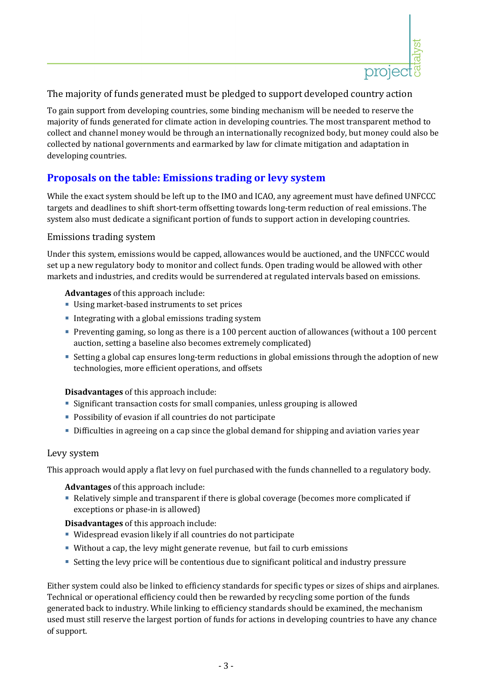

## The majority of funds generated must be pledged to support developed country action

To gain support from developing countries, some binding mechanism will be needed to reserve the majority of funds generated for climate action in developing countries. The most transparent method to collect and channel money would be through an internationally recognized body, but money could also be collected by national governments and earmarked by law for climate mitigation and adaptation in developing countries.

# **Proposals on the table: Emissions trading or levy system**

While the exact system should be left up to the IMO and ICAO, any agreement must have defined UNFCCC targets and deadlines to shift short‐term offsetting towards long‐term reduction of real emissions. The system also must dedicate a significant portion of funds to support action in developing countries.

#### Emissions trading system

Under this system, emissions would be capped, allowances would be auctioned, and the UNFCCC would set up a new regulatory body to monitor and collect funds. Open trading would be allowed with other markets and industries, and credits would be surrendered at regulated intervals based on emissions.

#### **Advantages** of this approach include:

- Using market-based instruments to set prices
- **Integrating with a global emissions trading system**
- Preventing gaming, so long as there is a 100 percent auction of allowances (without a 100 percent auction, setting a baseline also becomes extremely complicated)
- Setting a global cap ensures long-term reductions in global emissions through the adoption of new technologies, more efficient operations, and offsets

#### **Disadvantages** of this approach include:

- Significant transaction costs for small companies, unless grouping is allowed
- Possibility of evasion if all countries do not participate
- Difficulties in agreeing on a cap since the global demand for shipping and aviation varies year

#### Levy system

This approach would apply a flat levy on fuel purchased with the funds channelled to a regulatory body.

**Advantages** of this approach include:

 Relatively simple and transparent if there is global coverage (becomes more complicated if exceptions or phase-in is allowed)

#### **Disadvantages** of this approach include:

- Widespread evasion likely if all countries do not participate
- Without a cap, the levy might generate revenue, but fail to curb emissions
- Setting the levy price will be contentious due to significant political and industry pressure

Either system could also be linked to efficiency standards for specific types or sizes of ships and airplanes. Technical or operational efficiency could then be rewarded by recycling some portion of the funds generated back to industry. While linking to efficiency standards should be examined, the mechanism used must still reserve the largest portion of funds for actions in developing countries to have any chance of support.